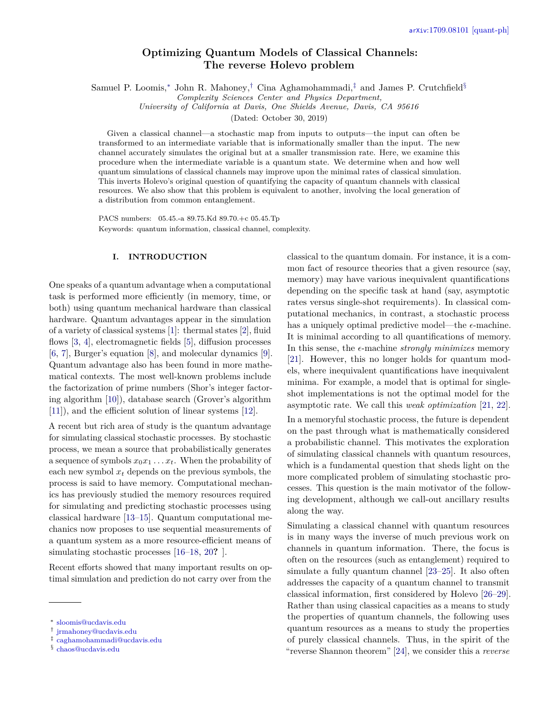# **Optimizing Quantum Models of Classical Channels: The reverse Holevo problem**

<span id="page-0-4"></span>Samuel P. Loomis,[∗](#page-0-0) John R. Mahoney,[†](#page-0-1) Cina Aghamohammadi,[‡](#page-0-2) and James P. Crutchfield[§](#page-0-3)

*Complexity Sciences Center and Physics Department,*

*University of California at Davis, One Shields Avenue, Davis, CA 95616*

(Dated: October 30, 2019)

Given a classical channel—a stochastic map from inputs to outputs—the input can often be transformed to an intermediate variable that is informationally smaller than the input. The new channel accurately simulates the original but at a smaller transmission rate. Here, we examine this procedure when the intermediate variable is a quantum state. We determine when and how well quantum simulations of classical channels may improve upon the minimal rates of classical simulation. This inverts Holevo's original question of quantifying the capacity of quantum channels with classical resources. We also show that this problem is equivalent to another, involving the local generation of a distribution from common entanglement.

PACS numbers: 05.45.-a 89.75.Kd 89.70.+c 05.45.Tp Keywords: quantum information, classical channel, complexity.

## **I. INTRODUCTION**

One speaks of a quantum advantage when a computational task is performed more efficiently (in memory, time, or both) using quantum mechanical hardware than classical hardware. Quantum advantages appear in the simulation of a variety of classical systems [\[1\]](#page-11-0): thermal states [\[2\]](#page-11-1), fluid flows [\[3,](#page-11-2) [4\]](#page-11-3), electromagnetic fields [\[5\]](#page-11-4), diffusion processes [\[6,](#page-11-5) [7\]](#page-11-6), Burger's equation [\[8\]](#page-11-7), and molecular dynamics [\[9\]](#page-11-8). Quantum advantage also has been found in more mathematical contexts. The most well-known problems include the factorization of prime numbers (Shor's integer factoring algorithm [\[10\]](#page-11-9)), database search (Grover's algorithm [\[11\]](#page-11-10)), and the efficient solution of linear systems [\[12\]](#page-11-11).

A recent but rich area of study is the quantum advantage for simulating classical stochastic processes. By stochastic process, we mean a source that probabilistically generates a sequence of symbols  $x_0x_1 \ldots x_t$ . When the probability of each new symbol  $x_t$  depends on the previous symbols, the process is said to have memory. Computational mechanics has previously studied the memory resources required for simulating and predicting stochastic processes using classical hardware [\[13–](#page-11-12)[15\]](#page-11-13). Quantum computational mechanics now proposes to use sequential measurements of a quantum system as a more resource-efficient means of simulating stochastic processes [\[16](#page-11-14)[–18,](#page-11-15) [20](#page-11-16)**?** ].

Recent efforts showed that many important results on optimal simulation and prediction do not carry over from the

<span id="page-0-2"></span>‡ [caghamohammadi@ucdavis.edu](mailto:caghamohammadi@ucdavis.edu)

classical to the quantum domain. For instance, it is a common fact of resource theories that a given resource (say, memory) may have various inequivalent quantifications depending on the specific task at hand (say, asymptotic rates versus single-shot requirements). In classical computational mechanics, in contrast, a stochastic process has a uniquely optimal predictive model—the  $\epsilon$ -machine. It is minimal according to all quantifications of memory. In this sense, the  $\epsilon$ -machine *strongly minimizes* memory [\[21\]](#page-11-17). However, this no longer holds for quantum models, where inequivalent quantifications have inequivalent minima. For example, a model that is optimal for singleshot implementations is not the optimal model for the asymptotic rate. We call this *weak optimization* [\[21,](#page-11-17) [22\]](#page-12-0). In a memoryful stochastic process, the future is dependent on the past through what is mathematically considered a probabilistic channel. This motivates the exploration of simulating classical channels with quantum resources, which is a fundamental question that sheds light on the more complicated problem of simulating stochastic processes. This question is the main motivator of the following development, although we call-out ancillary results along the way.

Simulating a classical channel with quantum resources is in many ways the inverse of much previous work on channels in quantum information. There, the focus is often on the resources (such as entanglement) required to simulate a fully quantum channel [\[23](#page-12-1)[–25\]](#page-12-2). It also often addresses the capacity of a quantum channel to transmit classical information, first considered by Holevo [\[26](#page-12-3)[–29\]](#page-12-4). Rather than using classical capacities as a means to study the properties of quantum channels, the following uses quantum resources as a means to study the properties of purely classical channels. Thus, in the spirit of the "reverse Shannon theorem" [\[24\]](#page-12-5), we consider this a *reverse*

<span id="page-0-0"></span><sup>∗</sup> [sloomis@ucdavis.edu](mailto:sloomis@ucdavis.edu)

<span id="page-0-1"></span><sup>†</sup> [jrmahoney@ucdavis.edu](mailto:jrmahoney@ucdavis.edu)

<span id="page-0-3"></span><sup>§</sup> [chaos@ucdavis.edu](mailto:chaos@ucdavis.edu)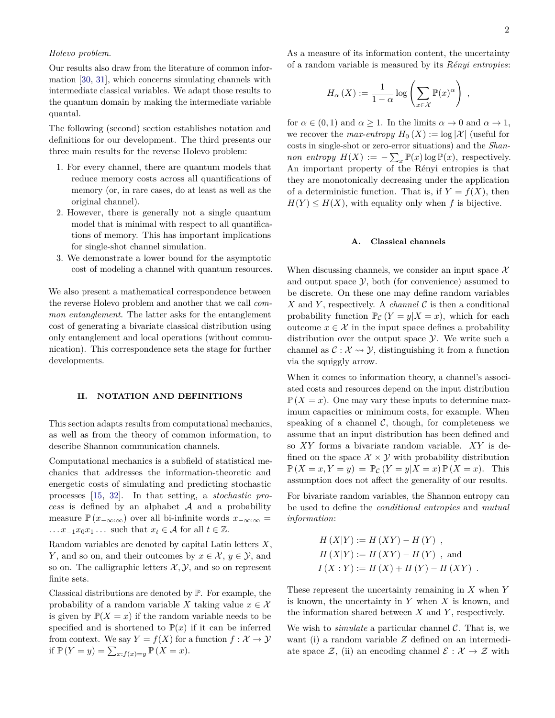## <span id="page-1-0"></span>*Holevo problem*.

Our results also draw from the literature of common information [\[30,](#page-12-6) [31\]](#page-12-7), which concerns simulating channels with intermediate classical variables. We adapt those results to the quantum domain by making the intermediate variable quantal.

The following (second) section establishes notation and definitions for our development. The third presents our three main results for the reverse Holevo problem:

- 1. For every channel, there are quantum models that reduce memory costs across all quantifications of memory (or, in rare cases, do at least as well as the original channel).
- 2. However, there is generally not a single quantum model that is minimal with respect to all quantifications of memory. This has important implications for single-shot channel simulation.
- 3. We demonstrate a lower bound for the asymptotic cost of modeling a channel with quantum resources.

We also present a mathematical correspondence between the reverse Holevo problem and another that we call *common entanglement*. The latter asks for the entanglement cost of generating a bivariate classical distribution using only entanglement and local operations (without communication). This correspondence sets the stage for further developments.

#### **II. NOTATION AND DEFINITIONS**

This section adapts results from computational mechanics, as well as from the theory of common information, to describe Shannon communication channels.

Computational mechanics is a subfield of statistical mechanics that addresses the information-theoretic and energetic costs of simulating and predicting stochastic processes [\[15,](#page-11-13) [32\]](#page-12-8). In that setting, a *stochastic process* is defined by an alphabet A and a probability measure  $\mathbb{P}(x_{-\infty:\infty})$  over all bi-infinite words  $x_{-\infty:\infty}$  =  $\ldots x_{-1}x_0x_1\ldots$  such that  $x_t \in \mathcal{A}$  for all  $t \in \mathbb{Z}$ .

Random variables are denoted by capital Latin letters *X*, *Y*, and so on, and their outcomes by  $x \in \mathcal{X}, y \in \mathcal{Y}$ , and so on. The calligraphic letters  $\mathcal{X}, \mathcal{Y},$  and so on represent finite sets.

Classical distributions are denoted by P. For example, the probability of a random variable *X* taking value  $x \in \mathcal{X}$ is given by  $\mathbb{P}(X=x)$  if the random variable needs to be specified and is shortened to  $P(x)$  if it can be inferred from context. We say  $Y = f(X)$  for a function  $f : \mathcal{X} \to \mathcal{Y}$ if  $\mathbb{P}(Y = y) = \sum_{x: f(x) = y} \mathbb{P}(X = x)$ .

As a measure of its information content, the uncertainty of a random variable is measured by its *Rényi entropies*:

$$
H_{\alpha}(X) := \frac{1}{1-\alpha} \log \left( \sum_{x \in \mathcal{X}} \mathbb{P}(x)^{\alpha} \right) ,
$$

for  $\alpha \in (0,1)$  and  $\alpha \geq 1$ . In the limits  $\alpha \to 0$  and  $\alpha \to 1$ , we recover the *max-entropy*  $H_0(X) := \log |\mathcal{X}|$  (useful for costs in single-shot or zero-error situations) and the *Shannon entropy*  $H(X) := -\sum_x \mathbb{P}(x) \log \mathbb{P}(x)$ , respectively. An important property of the Rényi entropies is that they are monotonically decreasing under the application of a deterministic function. That is, if  $Y = f(X)$ , then  $H(Y) \leq H(X)$ , with equality only when *f* is bijective.

#### **A. Classical channels**

When discussing channels, we consider an input space  $\mathcal{X}$ and output space  $\mathcal{Y}$ , both (for convenience) assumed to be discrete. On these one may define random variables *X* and *Y*, respectively. A *channel*  $\mathcal C$  is then a conditional probability function  $\mathbb{P}_{\mathcal{C}}(Y=y|X=x)$ , which for each outcome  $x \in \mathcal{X}$  in the input space defines a probability distribution over the output space  $\mathcal Y$ . We write such a channel as  $\mathcal{C}: \mathcal{X} \rightarrow \mathcal{Y}$ , distinguishing it from a function via the squiggly arrow.

When it comes to information theory, a channel's associated costs and resources depend on the input distribution  $\mathbb{P}(X=x)$ . One may vary these inputs to determine maximum capacities or minimum costs, for example. When speaking of a channel  $\mathcal{C}$ , though, for completeness we assume that an input distribution has been defined and so *XY* forms a bivariate random variable. *XY* is defined on the space  $X \times Y$  with probability distribution  $\mathbb{P}(X = x, Y = y) = \mathbb{P}_{\mathcal{C}}(Y = y | X = x) \mathbb{P}(X = x)$ . This assumption does not affect the generality of our results.

For bivariate random variables, the Shannon entropy can be used to define the *conditional entropies* and *mutual information*:

$$
H(X|Y) := H(XY) - H(Y) ,
$$
  
\n
$$
H(X|Y) := H(XY) - H(Y) ,
$$
 and  
\n
$$
I(X:Y) := H(X) + H(Y) - H(XY) .
$$

These represent the uncertainty remaining in *X* when *Y* is known, the uncertainty in *Y* when *X* is known, and the information shared between *X* and *Y* , respectively.

We wish to *simulate* a particular channel  $\mathcal{C}$ . That is, we want (i) a random variable *Z* defined on an intermediate space Z, (ii) an encoding channel  $\mathcal{E}: \mathcal{X} \to \mathcal{Z}$  with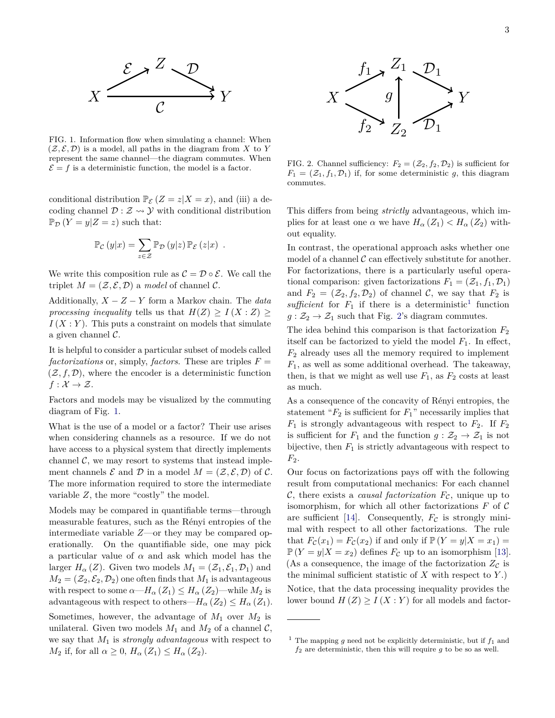<span id="page-2-3"></span>

<span id="page-2-0"></span>FIG. 1. Information flow when simulating a channel: When  $(\mathcal{Z}, \mathcal{E}, \mathcal{D})$  is a model, all paths in the diagram from X to Y represent the same channel—the diagram commutes. When  $\mathcal{E} = f$  is a deterministic function, the model is a factor.

conditional distribution  $\mathbb{P}_{\mathcal{E}}(Z=z|X=z)$ , and (iii) a decoding channel  $\mathcal{D}: \mathcal{Z} \rightarrow \mathcal{Y}$  with conditional distribution  $\mathbb{P}_{\mathcal{D}}(Y=y|Z=z)$  such that:

$$
\mathbb{P}_{\mathcal{C}}(y|x) = \sum_{z \in \mathcal{Z}} \mathbb{P}_{\mathcal{D}}(y|z) \, \mathbb{P}_{\mathcal{E}}(z|x) .
$$

We write this composition rule as  $\mathcal{C} = \mathcal{D} \circ \mathcal{E}$ . We call the triplet  $M = (\mathcal{Z}, \mathcal{E}, \mathcal{D})$  a *model* of channel  $\mathcal{C}$ .

Additionally, *X* − *Z* − *Y* form a Markov chain. The *data processing inequality* tells us that  $H(Z) \geq I(X : Z) \geq$  $I(X:Y)$ . This puts a constraint on models that simulate a given channel  $\mathcal{C}$ .

It is helpful to consider a particular subset of models called *factorizations* or, simply, *factors*. These are triples  $F =$  $(\mathcal{Z}, f, \mathcal{D})$ , where the encoder is a deterministic function  $f: \mathcal{X} \to \mathcal{Z}.$ 

Factors and models may be visualized by the commuting diagram of Fig. [1.](#page-2-0)

What is the use of a model or a factor? Their use arises when considering channels as a resource. If we do not have access to a physical system that directly implements channel  $\mathcal{C}$ , we may resort to systems that instead implement channels  $\mathcal E$  and  $\mathcal D$  in a model  $M = (\mathcal Z, \mathcal E, \mathcal D)$  of  $\mathcal C$ . The more information required to store the intermediate variable *Z*, the more "costly" the model.

Models may be compared in quantifiable terms—through measurable features, such as the Rényi entropies of the intermediate variable *Z*—or they may be compared operationally. On the quantifiable side, one may pick a particular value of *α* and ask which model has the larger  $H_{\alpha}(Z)$ . Given two models  $M_1 = (\mathcal{Z}_1, \mathcal{E}_1, \mathcal{D}_1)$  and  $M_2 = (Z_2, \mathcal{E}_2, \mathcal{D}_2)$  one often finds that  $M_1$  is advantageous with respect to some  $\alpha$ — $H_{\alpha}(Z_1) \leq H_{\alpha}(Z_2)$ —while  $M_2$  is advantageous with respect to others— $H_{\alpha}(Z_2) \leq H_{\alpha}(Z_1)$ .

Sometimes, however, the advantage of  $M_1$  over  $M_2$  is unilateral. Given two models  $M_1$  and  $M_2$  of a channel  $\mathcal{C}_1$ , we say that *M*<sup>1</sup> is *strongly advantageous* with respect to *M*<sub>2</sub> if, for all  $\alpha \geq 0$ ,  $H_{\alpha}(Z_1) \leq H_{\alpha}(Z_2)$ .



<span id="page-2-2"></span>FIG. 2. Channel sufficiency:  $F_2 = (\mathcal{Z}_2, f_2, \mathcal{D}_2)$  is sufficient for  $F_1 = (\mathcal{Z}_1, f_1, \mathcal{D}_1)$  if, for some deterministic *g*, this diagram commutes.

This differs from being *strictly* advantageous, which implies for at least one  $\alpha$  we have  $H_{\alpha}(Z_1) < H_{\alpha}(Z_2)$  without equality.

In contrast, the operational approach asks whether one model of a channel  $\mathcal C$  can effectively substitute for another. For factorizations, there is a particularly useful operational comparison: given factorizations  $F_1 = (\mathcal{Z}_1, f_1, \mathcal{D}_1)$ and  $F_2 = (\mathcal{Z}_2, f_2, \mathcal{D}_2)$  of channel C, we say that  $F_2$  is sufficient for  $F_1$  $F_1$  if there is a deterministic<sup>1</sup> function  $g: \mathcal{Z}_2 \to \mathcal{Z}_1$  such that Fig. [2'](#page-2-2)s diagram commutes.

The idea behind this comparison is that factorization *F*<sup>2</sup> itself can be factorized to yield the model  $F_1$ . In effect,  $F_2$  already uses all the memory required to implement *F*1, as well as some additional overhead. The takeaway, then, is that we might as well use  $F_1$ , as  $F_2$  costs at least as much.

As a consequence of the concavity of Rényi entropies, the statement " $F_2$  is sufficient for  $F_1$ " necessarily implies that  $F_1$  is strongly advantageous with respect to  $F_2$ . If  $F_2$ is sufficient for  $F_1$  and the function  $g : \mathcal{Z}_2 \to \mathcal{Z}_1$  is not bijective, then  $F_1$  is strictly advantageous with respect to *F*2.

Our focus on factorizations pays off with the following result from computational mechanics: For each channel  $\mathcal{C}$ , there exists a *causal factorization*  $F_{\mathcal{C}}$ , unique up to isomorphism, for which all other factorizations *F* of C are sufficient [\[14\]](#page-11-18). Consequently,  $F_c$  is strongly minimal with respect to all other factorizations. The rule that  $F_c(x_1) = F_c(x_2)$  if and only if  $\mathbb{P}(Y = y | X = x_1) =$  $\mathbb{P}(Y = y | X = x_2)$  defines  $F_c$  up to an isomorphism [\[13\]](#page-11-12). (As a consequence, the image of the factorization  $Z_{\mathcal{C}}$  is the minimal sufficient statistic of  $X$  with respect to  $Y$ .) Notice, that the data processing inequality provides the lower bound  $H(Z) \geq I(X:Y)$  for all models and factor-

<span id="page-2-1"></span><sup>&</sup>lt;sup>1</sup> The mapping *g* need not be explicitly deterministic, but if  $f_1$  and *f*<sup>2</sup> are deterministic, then this will require *g* to be so as well.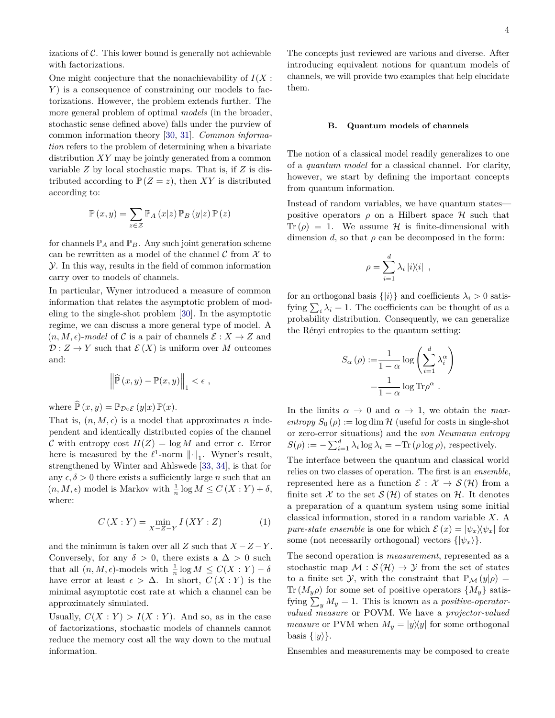<span id="page-3-0"></span>One might conjecture that the nonachievability of *I*(*X* : *Y*) is a consequence of constraining our models to factorizations. However, the problem extends further. The more general problem of optimal *models* (in the broader, stochastic sense defined above) falls under the purview of common information theory [\[30,](#page-12-6) [31\]](#page-12-7). *Common information* refers to the problem of determining when a bivariate distribution *XY* may be jointly generated from a common variable *Z* by local stochastic maps. That is, if *Z* is distributed according to  $P(Z = z)$ , then *XY* is distributed according to:

$$
\mathbb{P}\left(x,y\right)=\sum_{z\in\mathcal{Z}}\mathbb{P}_{A}\left(x|z\right)\mathbb{P}_{B}\left(y|z\right)\mathbb{P}\left(z\right)
$$

for channels  $\mathbb{P}_A$  and  $\mathbb{P}_B$ . Any such joint generation scheme can be rewritten as a model of the channel  $\mathcal C$  from  $\mathcal X$  to Y. In this way, results in the field of common information carry over to models of channels.

In particular, Wyner introduced a measure of common information that relates the asymptotic problem of modeling to the single-shot problem [\[30\]](#page-12-6). In the asymptotic regime, we can discuss a more general type of model. A  $(n, M, \epsilon)$ -*model* of C is a pair of channels  $\mathcal{E}: X \to Z$  and  $\mathcal{D}: Z \to Y$  such that  $\mathcal{E}(X)$  is uniform over M outcomes and:

$$
\left\|\widehat{\mathbb{P}}\left(x,y\right)-\mathbb{P}(x,y)\right\|_1 < \epsilon ,
$$

where  $\widehat{\mathbb{P}}(x, y) = \mathbb{P}_{\mathcal{D} \circ \mathcal{E}}(y|x) \, \mathbb{P}(x)$ .

That is,  $(n, M, \epsilon)$  is a model that approximates *n* independent and identically distributed copies of the channel C with entropy cost  $H(Z) = \log M$  and error  $\epsilon$ . Error here is measured by the  $\ell^1$ -norm  $\lVert \cdot \rVert_1$ . Wyner's result, strengthened by Winter and Ahlswede [\[33,](#page-12-9) [34\]](#page-12-10), is that for any  $\epsilon, \delta > 0$  there exists a sufficiently large *n* such that an  $(n, M, \epsilon)$  model is Markov with  $\frac{1}{n} \log M \le C(X:Y) + \delta$ , where:

$$
C(X:Y) = \min_{X-Z-Y} I(XY:Z)
$$
 (1)

and the minimum is taken over all  $Z$  such that  $X - Z - Y$ . Conversely, for any  $\delta > 0$ , there exists a  $\Delta > 0$  such that all  $(n, M, \epsilon)$ -models with  $\frac{1}{n} \log M \le C(X : Y) - \delta$ have error at least  $\epsilon > \Delta$ . In short,  $C(X:Y)$  is the minimal asymptotic cost rate at which a channel can be approximately simulated.

Usually,  $C(X:Y) > I(X:Y)$ . And so, as in the case of factorizations, stochastic models of channels cannot reduce the memory cost all the way down to the mutual information.

The concepts just reviewed are various and diverse. After introducing equivalent notions for quantum models of channels, we will provide two examples that help elucidate them.

#### **B. Quantum models of channels**

The notion of a classical model readily generalizes to one of a *quantum model* for a classical channel. For clarity, however, we start by defining the important concepts from quantum information.

Instead of random variables, we have quantum states positive operators  $\rho$  on a Hilbert space  $\mathcal H$  such that Tr  $(\rho) = 1$ . We assume H is finite-dimensional with dimension *d*, so that  $\rho$  can be decomposed in the form:

$$
\rho = \sum_{i=1}^{d} \lambda_i |i \rangle \langle i| ,
$$

for an orthogonal basis  $\{|i\rangle\}$  and coefficients  $\lambda_i > 0$  satisfying  $\sum_i \lambda_i = 1$ . The coefficients can be thought of as a probability distribution. Consequently, we can generalize the Rényi entropies to the quantum setting:

$$
S_{\alpha}(\rho) := \frac{1}{1-\alpha} \log \left( \sum_{i=1}^{d} \lambda_i^{\alpha} \right)
$$

$$
= \frac{1}{1-\alpha} \log \text{Tr} \rho^{\alpha} .
$$

In the limits  $\alpha \to 0$  and  $\alpha \to 1$ , we obtain the *maxentropy*  $S_0(\rho) := \log \dim \mathcal{H}$  (useful for costs in single-shot or zero-error situations) and the *von Neumann entropy*  $S(\rho) := -\sum_{i=1}^d \lambda_i \log \lambda_i = -\text{Tr}(\rho \log \rho)$ , respectively.

The interface between the quantum and classical world relies on two classes of operation. The first is an *ensemble*, represented here as a function  $\mathcal{E}: \mathcal{X} \to \mathcal{S}(\mathcal{H})$  from a finite set X to the set  $\mathcal{S}(\mathcal{H})$  of states on H. It denotes a preparation of a quantum system using some initial classical information, stored in a random variable *X*. A *pure-state ensemble* is one for which  $\mathcal{E}(x) = |\psi_x\rangle \langle \psi_x|$  for some (not necessarily orthogonal) vectors  $\{|\psi_x\rangle\}$ .

The second operation is *measurement*, represented as a stochastic map  $\mathcal{M}: \mathcal{S}(\mathcal{H}) \to \mathcal{Y}$  from the set of states to a finite set Y, with the constraint that  $\mathbb{P}_M(y|\rho) =$ Tr  $(M_y \rho)$  for some set of positive operators  $\{M_y\}$  satisfying  $\sum_{y} M_y = 1$ . This is known as a *positive-operatorvalued measure* or POVM. We have a *projector-valued measure* or PVM when  $M_y = |y\rangle\langle y|$  for some orthogonal basis  $\{|y\rangle\}.$ 

Ensembles and measurements may be composed to create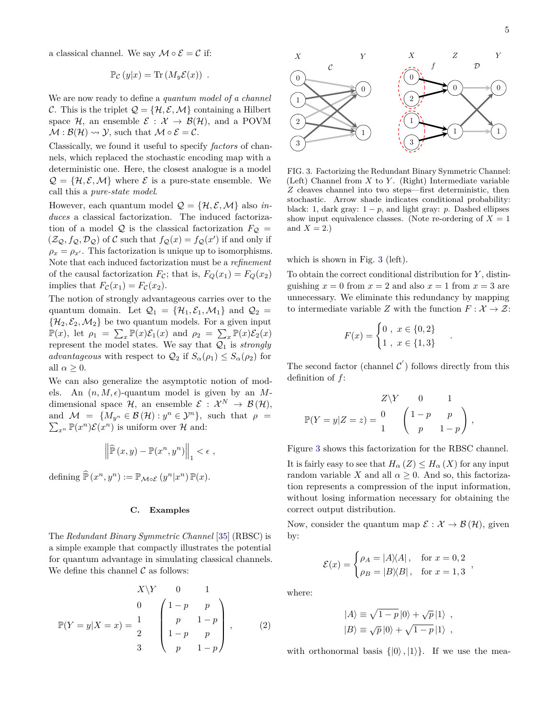<span id="page-4-1"></span>a classical channel. We say  $\mathcal{M} \circ \mathcal{E} = \mathcal{C}$  if:

$$
\mathbb{P}_{\mathcal{C}}(y|x) = \text{Tr}(M_y \mathcal{E}(x)) .
$$

We are now ready to define a *quantum model of a channel* C. This is the triplet  $\mathcal{Q} = \{\mathcal{H}, \mathcal{E}, \mathcal{M}\}\)$  containing a Hilbert space H, an ensemble  $\mathcal{E}: \mathcal{X} \to \mathcal{B}(\mathcal{H})$ , and a POVM  $\mathcal{M} : \mathcal{B}(\mathcal{H}) \rightsquigarrow \mathcal{Y}$ , such that  $\mathcal{M} \circ \mathcal{E} = \mathcal{C}$ .

Classically, we found it useful to specify *factors* of channels, which replaced the stochastic encoding map with a deterministic one. Here, the closest analogue is a model  $\mathcal{Q} = \{\mathcal{H}, \mathcal{E}, \mathcal{M}\}\$  where  $\mathcal{E}$  is a pure-state ensemble. We call this a *pure-state model*.

However, each quantum model  $\mathcal{Q} = \{ \mathcal{H}, \mathcal{E}, \mathcal{M} \}$  also *induces* a classical factorization. The induced factorization of a model Q is the classical factorization  $F_{\mathcal{Q}} =$  $(\mathcal{Z}_{\mathcal{Q}}, f_{\mathcal{Q}}, \mathcal{D}_{\mathcal{Q}})$  of C such that  $f_{\mathcal{Q}}(x) = f_{\mathcal{Q}}(x')$  if and only if  $\rho_x = \rho_{x'}$ . This factorization is unique up to isomorphisms. Note that each induced factorization must be a *refinement* of the causal factorization  $F_c$ ; that is,  $F_Q(x_1) = F_Q(x_2)$ implies that  $F_{\mathcal{C}}(x_1) = F_{\mathcal{C}}(x_2)$ .

The notion of strongly advantageous carries over to the quantum domain. Let  $\mathcal{Q}_1 = {\mathcal{H}_1, \mathcal{E}_1, \mathcal{M}_1}$  and  $\mathcal{Q}_2 =$  $\{\mathcal{H}_2, \mathcal{E}_2, \mathcal{M}_2\}$  be two quantum models. For a given input  $\mathbb{P}(x)$ , let  $\rho_1 = \sum_x \mathbb{P}(x)\mathcal{E}_1(x)$  and  $\rho_2 = \sum_x \mathbb{P}(x)\mathcal{E}_2(x)$ represent the model states. We say that  $Q_1$  is *strongly advantageous* with respect to  $\mathcal{Q}_2$  if  $S_\alpha(\rho_1) \leq S_\alpha(\rho_2)$  for all  $\alpha \geq 0$ .

We can also generalize the asymptotic notion of models. An  $(n, M, \epsilon)$ -quantum model is given by an Mdimensional space  $\mathcal{H}$ , an ensemble  $\mathcal{E} : \mathcal{X}^N \to \mathcal{B}(\mathcal{H}),$ and  $\mathcal{M} = \{M_{y^n} \in \mathcal{B}(\mathcal{H}) : y^n \in \mathcal{Y}^n\}$ , such that  $\rho =$  $\sum_{x^n} \mathbb{P}(x^n) \mathcal{E}(x^n)$  is uniform over  $\mathcal{H}$  and:

$$
\left\|\widehat{\mathbb{P}}\left(x,y\right)-\mathbb{P}(x^n,y^n)\right\|_1 < \epsilon ,
$$

defining  $\widehat{\mathbb{P}}(x^n, y^n) := \mathbb{P}_{\mathcal{M}\circ\mathcal{E}}(y^n|x^n)\mathbb{P}(x)$ .

#### **C. Examples**

The *Redundant Binary Symmetric Channel* [\[35\]](#page-12-11) (RBSC) is a simple example that compactly illustrates the potential for quantum advantage in simulating classical channels. We define this channel  $\mathcal C$  as follows:

$$
X\backslash Y \qquad 0 \qquad 1
$$
  
\n
$$
\mathbb{P}(Y = y | X = x) = \frac{1}{2} \begin{pmatrix} 1-p & p \\ p & 1-p \\ 1-p & p \\ 3 & p & 1-p \end{pmatrix},
$$
 (2)



<span id="page-4-0"></span>FIG. 3. Factorizing the Redundant Binary Symmetric Channel: (Left) Channel from *X* to *Y* . (Right) Intermediate variable *Z* cleaves channel into two steps—first deterministic, then stochastic. Arrow shade indicates conditional probability: black: 1, dark gray:  $1 - p$ , and light gray: *p*. Dashed ellipses show input equivalence classes. (Note re-ordering of  $X = 1$ ) and  $X = 2.$ )

which is shown in Fig. [3](#page-4-0) (left).

To obtain the correct conditional distribution for *Y* , distinguishing  $x = 0$  from  $x = 2$  and also  $x = 1$  from  $x = 3$  are unnecessary. We eliminate this redundancy by mapping to intermediate variable *Z* with the function  $F: \mathcal{X} \to \mathcal{Z}$ :

$$
F(x) = \begin{cases} 0, & x \in \{0, 2\} \\ 1, & x \in \{1, 3\} \end{cases}
$$

*.*

*,*

The second factor (channel  $\mathcal{C}'$ ) follows directly from this definition of *f*:

$$
Z\backslash Y = 0 \t 1
$$
  

$$
\mathbb{P}(Y = y|Z = z) = \frac{0}{1} \begin{pmatrix} 1-p & p \\ p & 1-p \end{pmatrix},
$$

Figure [3](#page-4-0) shows this factorization for the RBSC channel. It is fairly easy to see that  $H_{\alpha}(Z) \leq H_{\alpha}(X)$  for any input random variable *X* and all  $\alpha \geq 0$ . And so, this factorization represents a compression of the input information, without losing information necessary for obtaining the correct output distribution.

Now, consider the quantum map  $\mathcal{E}: \mathcal{X} \to \mathcal{B}(\mathcal{H})$ , given by:

$$
\mathcal{E}(x) = \begin{cases} \rho_A = |A\rangle\langle A|, & \text{for } x = 0, 2\\ \rho_B = |B\rangle\langle B|, & \text{for } x = 1, 3 \end{cases}
$$

where:

$$
|A\rangle \equiv \sqrt{1-p} |0\rangle + \sqrt{p} |1\rangle ,
$$
  

$$
|B\rangle \equiv \sqrt{p} |0\rangle + \sqrt{1-p} |1\rangle ,
$$

with orthonormal basis  $\{|0\rangle, |1\rangle\}$ . If we use the mea-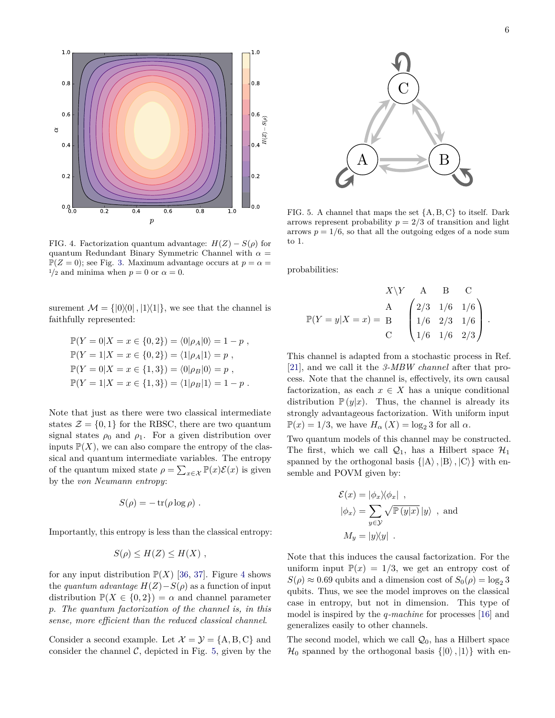<span id="page-5-2"></span>

<span id="page-5-0"></span>FIG. 4. Factorization quantum advantage:  $H(Z) - S(\rho)$  for quantum Redundant Binary Symmetric Channel with  $\alpha =$  $\mathbb{P}(Z=0)$ ; see Fig. [3.](#page-4-0) Maximum advantage occurs at  $p=\alpha=$  $1/2$  and minima when  $p = 0$  or  $\alpha = 0$ .

surement  $\mathcal{M} = \{ |0\rangle\langle 0|, |1\rangle\langle 1| \}$ , we see that the channel is faithfully represented:

$$
\mathbb{P}(Y = 0|X = x \in \{0, 2\}) = \langle 0|\rho_A|0\rangle = 1 - p,
$$
  
\n
$$
\mathbb{P}(Y = 1|X = x \in \{0, 2\}) = \langle 1|\rho_A|1\rangle = p,
$$
  
\n
$$
\mathbb{P}(Y = 0|X = x \in \{1, 3\}) = \langle 0|\rho_B|0\rangle = p,
$$
  
\n
$$
\mathbb{P}(Y = 1|X = x \in \{1, 3\}) = \langle 1|\rho_B|1\rangle = 1 - p.
$$

Note that just as there were two classical intermediate states  $\mathcal{Z} = \{0, 1\}$  for the RBSC, there are two quantum signal states  $\rho_0$  and  $\rho_1$ . For a given distribution over inputs  $\mathbb{P}(X)$ , we can also compare the entropy of the classical and quantum intermediate variables. The entropy of the quantum mixed state  $\rho = \sum_{x \in \mathcal{X}} \mathbb{P}(x) \mathcal{E}(x)$  is given by the *von Neumann entropy*:

$$
S(\rho) = -\operatorname{tr}(\rho \log \rho) .
$$

Importantly, this entropy is less than the classical entropy:

$$
S(\rho) \le H(Z) \le H(X) ,
$$

for any input distribution  $\mathbb{P}(X)$  [\[36,](#page-12-12) [37\]](#page-12-13). Figure [4](#page-5-0) shows the *quantum advantage*  $H(Z) - S(\rho)$  as a function of input distribution  $\mathbb{P}(X \in \{0,2\}) = \alpha$  and channel parameter *p*. *The quantum factorization of the channel is, in this sense, more efficient than the reduced classical channel*.

Consider a second example. Let  $\mathcal{X} = \mathcal{Y} = \{A, B, C\}$  and consider the channel  $\mathcal{C}$ , depicted in Fig. [5,](#page-5-1) given by the



<span id="page-5-1"></span>FIG. 5. A channel that maps the set {A*,* B*,* C} to itself. Dark arrows represent probability  $p = 2/3$  of transition and light arrows  $p = 1/6$ , so that all the outgoing edges of a node sum to 1.

probabilities:

$$
X\backslash Y \quad A \quad B \quad C
$$
  
\n
$$
\mathbb{P}(Y = y | X = x) = \begin{bmatrix} A \\ B \\ C \end{bmatrix} \begin{pmatrix} 2/3 & 1/6 & 1/6 \\ 1/6 & 2/3 & 1/6 \\ 1/6 & 1/6 & 2/3 \end{pmatrix}.
$$

This channel is adapted from a stochastic process in Ref. [\[21\]](#page-11-17), and we call it the *3-MBW channel* after that process. Note that the channel is, effectively, its own causal factorization, as each  $x \in X$  has a unique conditional distribution  $\mathbb{P}(y|x)$ . Thus, the channel is already its strongly advantageous factorization. With uniform input  $\mathbb{P}(x) = 1/3$ , we have  $H_\alpha(X) = \log_2 3$  for all  $\alpha$ .

Two quantum models of this channel may be constructed. The first, which we call  $\mathcal{Q}_1$ , has a Hilbert space  $\mathcal{H}_1$ spanned by the orthogonal basis  $\{ |A\rangle, |B\rangle, |C\rangle \}$  with ensemble and POVM given by:

$$
\mathcal{E}(x) = |\phi_x \rangle \langle \phi_x | ,
$$
  

$$
|\phi_x \rangle = \sum_{y \in \mathcal{Y}} \sqrt{\mathbb{P}(y|x)} |y \rangle , \text{ and}
$$
  

$$
M_y = |y \rangle \langle y| .
$$

Note that this induces the causal factorization. For the uniform input  $\mathbb{P}(x) = 1/3$ , we get an entropy cost of  $S(\rho) \approx 0.69$  qubits and a dimension cost of  $S_0(\rho) = \log_2 3$ qubits. Thus, we see the model improves on the classical case in entropy, but not in dimension. This type of model is inspired by the *q-machine* for processes [\[16\]](#page-11-14) and generalizes easily to other channels.

The second model, which we call  $\mathcal{Q}_0$ , has a Hilbert space  $\mathcal{H}_0$  spanned by the orthogonal basis  $\{|0\rangle, |1\rangle\}$  with en-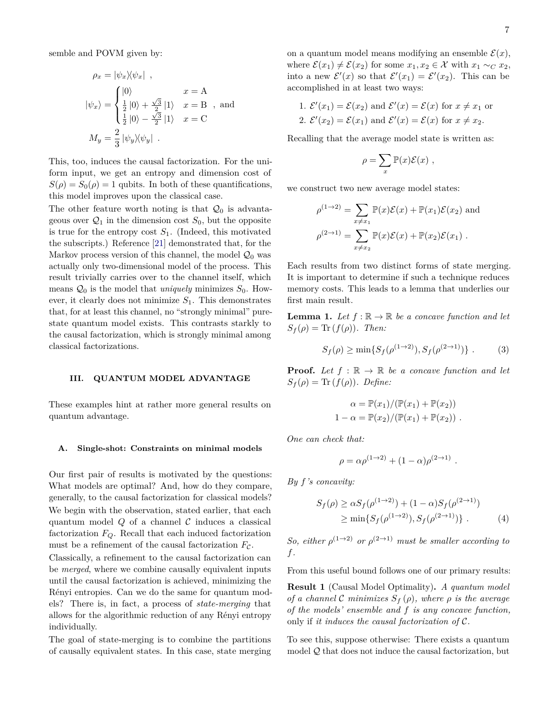<span id="page-6-1"></span>
$$
\rho_x = |\psi_x \rangle \langle \psi_x | ,
$$
  
\n
$$
|\psi_x \rangle = \begin{cases} |0\rangle & x = A \\ \frac{1}{2} |0\rangle + \frac{\sqrt{3}}{2} |1\rangle & x = B \\ \frac{1}{2} |0\rangle - \frac{\sqrt{3}}{2} |1\rangle & x = C \end{cases}
$$
, and  
\n
$$
M_y = \frac{2}{3} |\psi_y \rangle \langle \psi_y | .
$$

This, too, induces the causal factorization. For the uniform input, we get an entropy and dimension cost of  $S(\rho) = S_0(\rho) = 1$  qubits. In both of these quantifications, this model improves upon the classical case.

The other feature worth noting is that  $\mathcal{Q}_0$  is advantageous over  $\mathcal{Q}_1$  in the dimension cost  $S_0$ , but the opposite is true for the entropy cost  $S_1$ . (Indeed, this motivated the subscripts.) Reference [\[21\]](#page-11-17) demonstrated that, for the Markov process version of this channel, the model  $\mathcal{Q}_0$  was actually only two-dimensional model of the process. This result trivially carries over to the channel itself, which means  $\mathcal{Q}_0$  is the model that *uniquely* minimizes  $S_0$ . However, it clearly does not minimize  $S_1$ . This demonstrates that, for at least this channel, no "strongly minimal" purestate quantum model exists. This contrasts starkly to the causal factorization, which is strongly minimal among classical factorizations.

## **III. QUANTUM MODEL ADVANTAGE**

These examples hint at rather more general results on quantum advantage.

#### **A. Single-shot: Constraints on minimal models**

Our first pair of results is motivated by the questions: What models are optimal? And, how do they compare, generally, to the causal factorization for classical models? We begin with the observation, stated earlier, that each quantum model  $Q$  of a channel  $C$  induces a classical factorization *FQ*. Recall that each induced factorization must be a refinement of the causal factorization  $F_{\mathcal{C}}$ .

Classically, a refinement to the causal factorization can be *merged*, where we combine causally equivalent inputs until the causal factorization is achieved, minimizing the Rényi entropies. Can we do the same for quantum models? There is, in fact, a process of *state-merging* that allows for the algorithmic reduction of any Rényi entropy individually.

The goal of state-merging is to combine the partitions of causally equivalent states. In this case, state merging on a quantum model means modifying an ensemble  $\mathcal{E}(x)$ , where  $\mathcal{E}(x_1) \neq \mathcal{E}(x_2)$  for some  $x_1, x_2 \in \mathcal{X}$  with  $x_1 \sim_C x_2$ , into a new  $\mathcal{E}'(x)$  so that  $\mathcal{E}'(x_1) = \mathcal{E}'(x_2)$ . This can be accomplished in at least two ways:

1. 
$$
\mathcal{E}'(x_1) = \mathcal{E}(x_2)
$$
 and  $\mathcal{E}'(x) = \mathcal{E}(x)$  for  $x \neq x_1$  or  
2.  $\mathcal{E}'(x_2) = \mathcal{E}(x_1)$  and  $\mathcal{E}'(x) = \mathcal{E}(x)$  for  $x \neq x_2$ .

Recalling that the average model state is written as:

$$
\rho = \sum_{x} \mathbb{P}(x)\mathcal{E}(x) ,
$$

we construct two new average model states:

$$
\rho^{(1\to 2)} = \sum_{x \neq x_1} \mathbb{P}(x)\mathcal{E}(x) + \mathbb{P}(x_1)\mathcal{E}(x_2)
$$
 and  

$$
\rho^{(2\to 1)} = \sum_{x \neq x_2} \mathbb{P}(x)\mathcal{E}(x) + \mathbb{P}(x_2)\mathcal{E}(x_1).
$$

Each results from two distinct forms of state merging. It is important to determine if such a technique reduces memory costs. This leads to a lemma that underlies our first main result.

**Lemma 1.** Let  $f : \mathbb{R} \to \mathbb{R}$  be a concave function and let  $S_f(\rho) = \text{Tr}(f(\rho))$ *. Then:* 

$$
S_f(\rho) \ge \min\{S_f(\rho^{(1\to 2)}), S_f(\rho^{(2\to 1)})\}.
$$
 (3)

**Proof.** Let  $f : \mathbb{R} \to \mathbb{R}$  be a concave function and let  $S_f(\rho) = \text{Tr}(f(\rho))$ *. Define:* 

<span id="page-6-0"></span>
$$
\alpha = \mathbb{P}(x_1)/(\mathbb{P}(x_1) + \mathbb{P}(x_2))
$$
  
1 - 
$$
\alpha = \mathbb{P}(x_2)/(\mathbb{P}(x_1) + \mathbb{P}(x_2))
$$

*One can check that:*

$$
\rho = \alpha \rho^{(1 \to 2)} + (1 - \alpha) \rho^{(2 \to 1)}.
$$

*By f's concavity:*

$$
S_f(\rho) \ge \alpha S_f(\rho^{(1\to 2)}) + (1 - \alpha) S_f(\rho^{(2\to 1)})
$$
  
 
$$
\ge \min\{S_f(\rho^{(1\to 2)}), S_f(\rho^{(2\to 1)})\}.
$$
 (4)

*So, either*  $\rho^{(1\rightarrow 2)}$  *or*  $\rho^{(2\rightarrow 1)}$  *must be smaller according to f.*

From this useful bound follows one of our primary results:

**Result 1** (Causal Model Optimality)**.** *A quantum model of a channel* C *minimizes*  $S_f(\rho)$ *, where*  $\rho$  *is the average of the models' ensemble and f is any concave function,* only if *it induces the causal factorization of* C*.*

To see this, suppose otherwise: There exists a quantum model Q that does not induce the causal factorization, but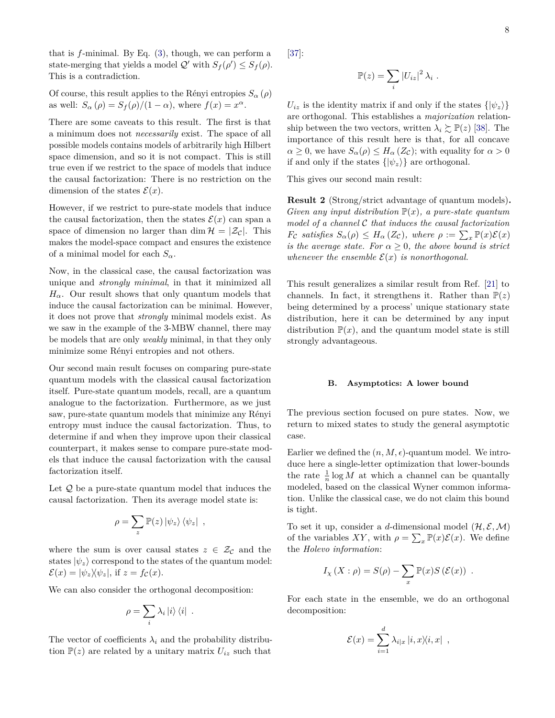<span id="page-7-0"></span>that is *f*-minimal. By Eq. [\(3\)](#page-6-0), though, we can perform a state-merging that yields a model  $Q'$  with  $S_f(\rho') \leq S_f(\rho)$ . This is a contradiction.

Of course, this result applies to the Rényi entropies  $S_{\alpha}(\rho)$ as well:  $S_{\alpha}(\rho) = S_{f}(\rho)/(1 - \alpha)$ , where  $f(x) = x^{\alpha}$ .

There are some caveats to this result. The first is that a minimum does not *necessarily* exist. The space of all possible models contains models of arbitrarily high Hilbert space dimension, and so it is not compact. This is still true even if we restrict to the space of models that induce the causal factorization: There is no restriction on the dimension of the states  $\mathcal{E}(x)$ .

However, if we restrict to pure-state models that induce the causal factorization, then the states  $\mathcal{E}(x)$  can span a space of dimension no larger than dim  $\mathcal{H} = |\mathcal{Z}_c|$ . This makes the model-space compact and ensures the existence of a minimal model for each  $S_\alpha$ .

Now, in the classical case, the causal factorization was unique and *strongly minimal*, in that it minimized all  $H_{\alpha}$ . Our result shows that only quantum models that induce the causal factorization can be minimal. However, it does not prove that *strongly* minimal models exist. As we saw in the example of the 3-MBW channel, there may be models that are only *weakly* minimal, in that they only minimize some Rényi entropies and not others.

Our second main result focuses on comparing pure-state quantum models with the classical causal factorization itself. Pure-state quantum models, recall, are a quantum analogue to the factorization. Furthermore, as we just saw, pure-state quantum models that minimize any Rényi entropy must induce the causal factorization. Thus, to determine if and when they improve upon their classical counterpart, it makes sense to compare pure-state models that induce the causal factorization with the causal factorization itself.

Let  $Q$  be a pure-state quantum model that induces the causal factorization. Then its average model state is:

$$
\rho = \sum_{z} \mathbb{P}(z) \left| \psi_{z} \right\rangle \left\langle \psi_{z} \right| ,
$$

where the sum is over causal states  $z \in \mathcal{Z}_{\mathcal{C}}$  and the states  $|\psi_z\rangle$  correspond to the states of the quantum model:  $\mathcal{E}(x) = |\psi_z\rangle\langle\psi_z|, \text{ if } z = f_{\mathcal{C}}(x).$ 

We can also consider the orthogonal decomposition:

$$
\rho = \sum_i \lambda_i \left| i \right\rangle \left\langle i \right| \ .
$$

The vector of coefficients  $\lambda_i$  and the probability distribution  $\mathbb{P}(z)$  are related by a unitary matrix  $U_{iz}$  such that

[\[37\]](#page-12-13):

$$
\mathbb{P}(z) = \sum_{i} |U_{iz}|^2 \lambda_i.
$$

 $U_{iz}$  is the identity matrix if and only if the states  $\{|\psi_z\rangle\}$ are orthogonal. This establishes a *majorization* relationship between the two vectors, written  $\lambda_i \gtrsim \mathbb{P}(z)$  [\[38\]](#page-12-14). The importance of this result here is that, for all concave  $\alpha \geq 0$ , we have  $S_{\alpha}(\rho) \leq H_{\alpha}(Z_{\mathcal{C}})$ ; with equality for  $\alpha > 0$ if and only if the states  $\{|\psi_z\rangle\}$  are orthogonal.

This gives our second main result:

**Result 2** (Strong/strict advantage of quantum models)**.** *Given any input distribution*  $\mathbb{P}(x)$ *, a pure-state quantum model of a channel* C *that induces the causal factorization F*<sub>C</sub> *satisfies*  $S_{\alpha}(\rho) \leq H_{\alpha}(Z_{\mathcal{C}})$ *, where*  $\rho := \sum_{x} \mathbb{P}(x) \mathcal{E}(x)$ *is the average state. For*  $\alpha > 0$ *, the above bound is strict whenever the ensemble*  $\mathcal{E}(x)$  *is nonorthogonal.* 

This result generalizes a similar result from Ref. [\[21\]](#page-11-17) to channels. In fact, it strengthens it. Rather than  $P(z)$ being determined by a process' unique stationary state distribution, here it can be determined by any input distribution  $\mathbb{P}(x)$ , and the quantum model state is still strongly advantageous.

## **B. Asymptotics: A lower bound**

The previous section focused on pure states. Now, we return to mixed states to study the general asymptotic case.

Earlier we defined the  $(n, M, \epsilon)$ -quantum model. We introduce here a single-letter optimization that lower-bounds the rate  $\frac{1}{n} \log M$  at which a channel can be quantally modeled, based on the classical Wyner common information. Unlike the classical case, we do not claim this bound is tight.

To set it up, consider a *d*-dimensional model  $(\mathcal{H}, \mathcal{E}, \mathcal{M})$ of the variables  $XY$ , with  $\rho = \sum_x \mathbb{P}(x)\mathcal{E}(x)$ . We define the *Holevo information*:

$$
I_X(X:\rho) = S(\rho) - \sum_x \mathbb{P}(x)S(\mathcal{E}(x)).
$$

For each state in the ensemble, we do an orthogonal decomposition:

$$
\mathcal{E}(x) = \sum_{i=1}^d \lambda_{i|x} |i, x\rangle\langle i, x| ,
$$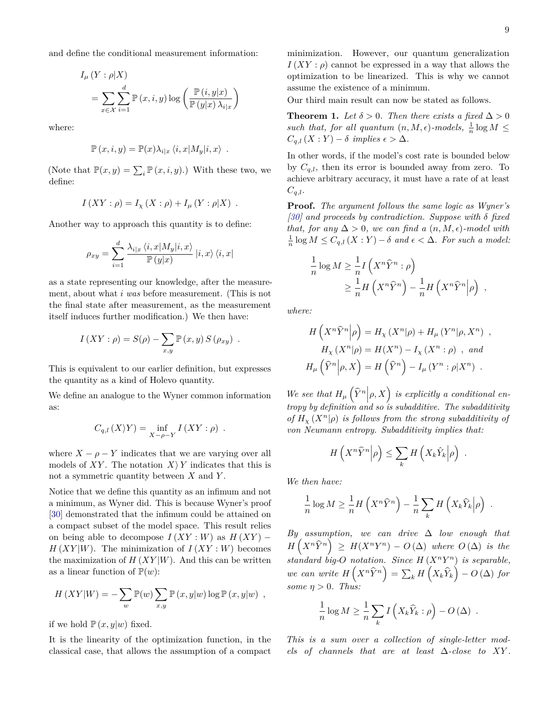<span id="page-8-0"></span>and define the conditional measurement information:

$$
I_{\mu}(Y : \rho | X)
$$
  
= 
$$
\sum_{x \in \mathcal{X}} \sum_{i=1}^{d} \mathbb{P}(x, i, y) \log \left( \frac{\mathbb{P}(i, y | x)}{\mathbb{P}(y | x) \lambda_{i | x}} \right)
$$

where:

$$
\mathbb{P}(x,i,y) = \mathbb{P}(x)\lambda_{i|x} \langle i, x|M_y|i,x\rangle .
$$

(Note that  $\mathbb{P}(x, y) = \sum_i \mathbb{P}(x, i, y)$ .) With these two, we define:

$$
I(XY : \rho) = I_X(X : \rho) + I_\mu(Y : \rho|X) .
$$

Another way to approach this quantity is to define:

$$
\rho_{xy} = \sum_{i=1}^d \frac{\lambda_{i|x} \left\langle i, x | M_y | i, x \right\rangle}{\mathbb{P}\left( y | x \right)} \left| i, x \right\rangle \left\langle i, x \right|
$$

as a state representing our knowledge, after the measurement, about what *i was* before measurement. (This is not the final state after measurement, as the measurement itself induces further modification.) We then have:

$$
I(XY: \rho) = S(\rho) - \sum_{x,y} \mathbb{P}(x,y) S(\rho_{xy}) .
$$

This is equivalent to our earlier definition, but expresses the quantity as a kind of Holevo quantity.

We define an analogue to the Wyner common information as:

$$
C_{q,l}(X\rangle Y) = \inf_{X-\rho-Y} I(XY:\rho) .
$$

where  $X - \rho - Y$  indicates that we are varying over all models of XY. The notation  $X \ Y$  indicates that this is not a symmetric quantity between *X* and *Y* .

Notice that we define this quantity as an infimum and not a minimum, as Wyner did. This is because Wyner's proof [\[30\]](#page-12-6) demonstrated that the infimum could be attained on a compact subset of the model space. This result relies on being able to decompose  $I(XY:W)$  as  $H(XY)$  –  $H(XY|W)$ . The minimization of  $I(XY:W)$  becomes the maximization of  $H(XY|W)$ . And this can be written as a linear function of  $\mathbb{P}(w)$ :

$$
H(XY|W) = -\sum_{w} \mathbb{P}(w) \sum_{x,y} \mathbb{P}(x,y|w) \log \mathbb{P}(x,y|w) ,
$$

if we hold  $\mathbb{P}(x,y|w)$  fixed.

It is the linearity of the optimization function, in the classical case, that allows the assumption of a compact

minimization. However, our quantum generalization  $I(XY: \rho)$  cannot be expressed in a way that allows the optimization to be linearized. This is why we cannot assume the existence of a minimum.

Our third main result can now be stated as follows.

**Theorem 1.** *Let*  $\delta > 0$ *. Then there exists a fixed*  $\Delta > 0$ such that, for all quantum  $(n, M, \epsilon)$ -models,  $\frac{1}{n} \log M \leq$  $C_{q,l}(X:Y) - \delta$  *implies*  $\epsilon > \Delta$ *.* 

In other words, if the model's cost rate is bounded below by  $C_{q,l}$ , then its error is bounded away from zero. To achieve arbitrary accuracy, it must have a rate of at least  $C_{q,l}$ .

**Proof.** *The argument follows the same logic as Wyner's [\[30\]](#page-12-6) and proceeds by contradiction. Suppose with δ fixed that, for any*  $\Delta > 0$ *, we can find a*  $(n, M, \epsilon)$ *-model with*  $\frac{1}{n} \log M \leq C_{q,l}(X:Y) - \delta$  *and*  $\epsilon < \Delta$ *. For such a model:* 

$$
\frac{1}{n}\log M \ge \frac{1}{n}I\left(X^n\widehat{Y}^n:\rho\right)
$$
  
 
$$
\ge \frac{1}{n}H\left(X^n\widehat{Y}^n\right) - \frac{1}{n}H\left(X^n\widehat{Y}^n|\rho\right) ,
$$

*where:*

$$
H\left(X^n\widehat{Y}^n|\rho\right) = H_X\left(X^n|\rho\right) + H_\mu\left(Y^n|\rho,X^n\right) ,
$$
  
\n
$$
H_X\left(X^n|\rho\right) = H(X^n) - I_X\left(X^n:\rho\right) , \text{ and}
$$
  
\n
$$
H_\mu\left(\widehat{Y}^n|\rho,X\right) = H\left(\widehat{Y}^n\right) - I_\mu\left(Y^n:\rho|X^n\right) .
$$

We see that  $H_\mu\left(\hat{Y}^n\bigg|\rho,X\right)$  is explicitly a conditional en*tropy by definition and so is subadditive. The subadditivity of*  $H_\chi(X^n|\rho)$  *is follows from the strong subadditivity of von Neumann entropy. Subadditivity implies that:*

$$
H\left(X^n\widehat{Y}^n|\rho\right)\leq \sum_k H\left(X_k\widehat{Y}_k|\rho\right) .
$$

*We then have:*

$$
\frac{1}{n}\log M \ge \frac{1}{n}H\left(X^n\widehat{Y}^n\right) - \frac{1}{n}\sum_k H\left(X_k\widehat{Y}_k|\rho\right) .
$$

*By assumption, we can drive* ∆ *low enough that*  $H(X^n\widehat{Y}^n) \geq H(X^nY^n) - O(\Delta)$  *where*  $O(\Delta)$  *is the standard big-O notation. Since H* (*X<sup>n</sup>Y <sup>n</sup>*) *is separable,*  $we$  *can write*  $H(X^n\widehat{Y}^n) = \sum_k H(X_k\widehat{Y}_k) - O(\Delta)$  *for some*  $\eta > 0$ *. Thus:* 

$$
\frac{1}{n}\log M \ge \frac{1}{n}\sum_{k} I\left(X_k\widehat{Y}_k : \rho\right) - O\left(\Delta\right) .
$$

*This is a sum over a collection of single-letter models of channels that are at least*  $\Delta$ -*close to XY*.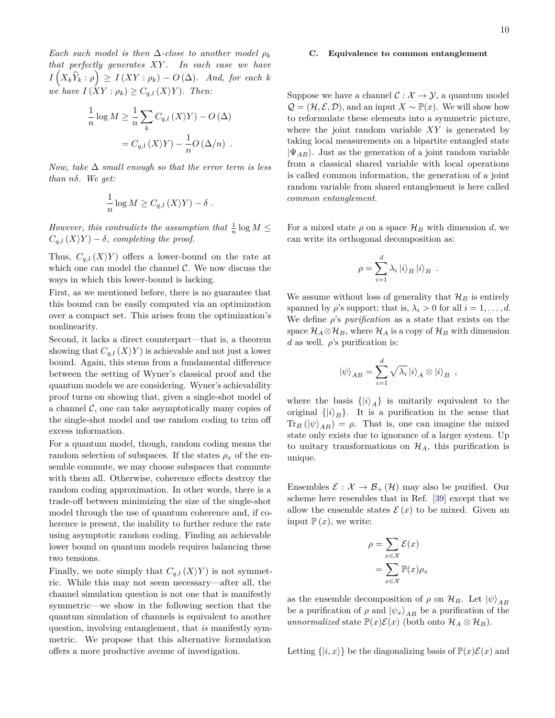<span id="page-9-1"></span>*Each such model is then*  $\Delta$ *-close to another model*  $\rho_k$ *that perfectly generates XY . In each case we have*  $I(X_k\hat{Y}_k: \rho) \geq I(XY: \rho_k) - O(\Delta)$ *. And, for each k we have*  $I(XY : \rho_k) \geq C_{q,l}(X|Y)$ *. Then:* 

$$
\frac{1}{n}\log M \ge \frac{1}{n}\sum_{k} C_{q,l}(X\Y) - O(\Delta)
$$

$$
= C_{q,l}(X\Y) - \frac{1}{n}O(\Delta/n) .
$$

*Now, take* ∆ *small enough so that the error term is less than nδ. We get:*

$$
\frac{1}{n}\log M \geq C_{q,l}\left(X\right)Y\right) - \delta.
$$

*However, this contradicts the assumption that*  $\frac{1}{n} \log M \leq$  $C_{q,l}(X|Y) - \delta$ *, completing the proof.* 

Thus,  $C_{q,l}(X|Y)$  offers a lower-bound on the rate at which one can model the channel  $C$ . We now discuss the ways in which this lower-bound is lacking.

First, as we mentioned before, there is no guarantee that this bound can be easily computed via an optimization over a compact set. This arises from the optimization's nonlinearity.

Second, it lacks a direct counterpart—that is, a theorem showing that  $C_{q,l}(X|Y)$  is achievable and not just a lower bound. Again, this stems from a fundamental difference between the setting of Wyner's classical proof and the quantum models we are considering. Wyner's achievability proof turns on showing that, given a single-shot model of a channel  $\mathcal{C}$ , one can take asymptotically many copies of the single-shot model and use random coding to trim off excess information.

For a quantum model, though, random coding means the random selection of subspaces. If the states  $\rho_x$  of the ensemble commute, we may choose subspaces that commute with them all. Otherwise, coherence effects destroy the random coding approximation. In other words, there is a trade-off between minimizing the size of the single-shot model through the use of quantum coherence and, if coherence is present, the inability to further reduce the rate using asymptotic random coding. Finding an achievable lower bound on quantum models requires balancing these two tensions.

Finally, we note simply that  $C_{q,l}(X|Y)$  is not symmetric. While this may not seem necessary—after all, the channel simulation question is not one that is manifestly symmetric—we show in the following section that the quantum simulation of channels is equivalent to another question, involving entanglement, that *is* manifestly symmetric. We propose that this alternative formulation offers a more productive avenue of investigation.

#### <span id="page-9-0"></span>**C. Equivalence to common entanglement**

Suppose we have a channel  $\mathcal{C}: \mathcal{X} \to \mathcal{Y}$ , a quantum model  $\mathcal{Q} = (\mathcal{H}, \mathcal{E}, \mathcal{D})$ , and an input  $X \sim \mathbb{P}(x)$ . We will show how to reformulate these elements into a symmetric picture, where the joint random variable *XY* is generated by taking local measurements on a bipartite entangled state  $|\Psi_{AB}\rangle$ . Just as the generation of a joint random variable from a classical shared variable with local operations is called common information, the generation of a joint random variable from shared entanglement is here called *common entanglement*.

For a mixed state  $\rho$  on a space  $\mathcal{H}_B$  with dimension *d*, we can write its orthogonal decomposition as:

$$
\rho = \sum_{i=1}^{d} \lambda_i |i\rangle_B |i\rangle_B.
$$

We assume without loss of generality that  $\mathcal{H}_B$  is entirely spanned by  $\rho$ 's support; that is,  $\lambda_i > 0$  for all  $i = 1, \ldots, d$ . We define *ρ*'s *purification* as a state that exists on the space  $\mathcal{H}_A \otimes \mathcal{H}_B$ , where  $\mathcal{H}_A$  is a copy of  $\mathcal{H}_B$  with dimension *d* as well.  $\rho$ 's purification is:

$$
|\psi\rangle_{AB} = \sum_{i=1}^d \sqrt{\lambda_i} |i\rangle_A \otimes |i\rangle_B ,
$$

where the basis  $\{|i\rangle_A\}$  is unitarily equivalent to the original  $\{|i\rangle_B\}$ . It is a purification in the sense that  $\text{Tr}_B(\ket{\psi}_{AB}) = \rho$ . That is, one can imagine the mixed state only exists due to ignorance of a larger system. Up to unitary transformations on  $\mathcal{H}_A$ , this purification is unique.

Ensembles  $\mathcal{E}: \mathcal{X} \to \mathcal{B}_+(\mathcal{H})$  may also be purified. Our scheme here resembles that in Ref. [\[39\]](#page-12-15) except that we allow the ensemble states  $\mathcal{E}(x)$  to be mixed. Given an input  $\mathbb{P}(x)$ , we write:

$$
\rho = \sum_{x \in \mathcal{X}} \mathcal{E}(x)
$$

$$
= \sum_{x \in \mathcal{X}} \mathbb{P}(x) \rho_x
$$

as the ensemble decomposition of  $\rho$  on  $\mathcal{H}_B$ . Let  $|\psi\rangle_{AB}$ be a purification of  $\rho$  and  $|\psi_x\rangle_{AB}$  be a purification of the *unnormalized* state  $\mathbb{P}(x)\mathcal{E}(x)$  (both onto  $\mathcal{H}_A \otimes \mathcal{H}_B$ ).

Letting  $\{|i,x\rangle\}$  be the diagonalizing basis of  $\mathbb{P}(x)\mathcal{E}(x)$  and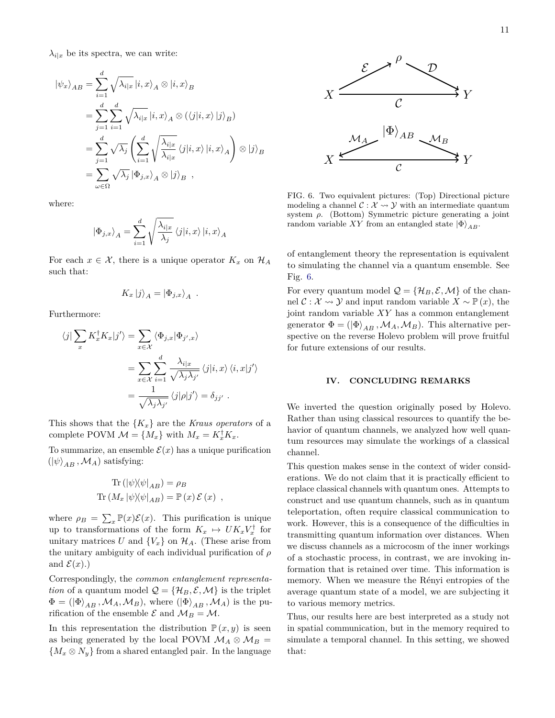$\lambda_{i|x}$  be its spectra, we can write:

$$
\begin{split}\n\left|\psi_{x}\right\rangle_{AB} &= \sum_{i=1}^{d} \sqrt{\lambda_{i|x}} \left|i, x\right\rangle_{A} \otimes \left|i, x\right\rangle_{B} \\
&= \sum_{j=1}^{d} \sum_{i=1}^{d} \sqrt{\lambda_{i|x}} \left|i, x\right\rangle_{A} \otimes (\left\langle j|i, x\right\rangle |j\rangle_{B}) \\
&= \sum_{j=1}^{d} \sqrt{\lambda_{j}} \left(\sum_{i=1}^{d} \sqrt{\frac{\lambda_{i|x}}{\lambda_{i|x}}} \left\langle j|i, x\right\rangle |i, x\rangle_{A}\right) \otimes \left|j\right\rangle_{B} \\
&= \sum_{\omega \in \Omega} \sqrt{\lambda_{j}} \left|\Phi_{j,x}\right\rangle_{A} \otimes \left|j\right\rangle_{B}\n\end{split}
$$

where:

$$
\left| \Phi_{j,x} \right\rangle_A = \sum_{i=1}^d \sqrt{\frac{\lambda_{i|x}}{\lambda_j}} \left\langle j|i,x \right\rangle |i,x\rangle_A
$$

For each  $x \in \mathcal{X}$ , there is a unique operator  $K_x$  on  $\mathcal{H}_A$ such that:

$$
K_x |j\rangle_A = |\Phi_{j,x}\rangle_A .
$$

Furthermore:

$$
\langle j | \sum_{x} K_{x}^{\dagger} K_{x} | j' \rangle = \sum_{x \in \mathcal{X}} \langle \Phi_{j,x} | \Phi_{j',x} \rangle
$$
  

$$
= \sum_{x \in \mathcal{X}} \sum_{i=1}^{d} \frac{\lambda_{i|x}}{\sqrt{\lambda_{j}\lambda_{j'}}} \langle j | i, x \rangle \langle i, x | j' \rangle
$$
  

$$
= \frac{1}{\sqrt{\lambda_{j}\lambda_{j'}}} \langle j | \rho | j' \rangle = \delta_{jj'}.
$$

This shows that the  ${K_x}$  are the *Kraus operators* of a complete POVM  $\mathcal{M} = \{M_x\}$  with  $M_x = K_x^{\dagger} K_x$ .

To summarize, an ensemble  $\mathcal{E}(x)$  has a unique purification  $(|\psi\rangle_{AB}, \mathcal{M}_A)$  satisfying:

$$
\text{Tr} \left( |\psi \rangle \langle \psi |_{AB} \right) = \rho_B
$$
\n
$$
\text{Tr} \left( M_x | \psi \rangle \langle \psi |_{AB} \right) = \mathbb{P} \left( x \right) \mathcal{E} \left( x \right) ,
$$

where  $\rho_B = \sum_x \mathbb{P}(x)\mathcal{E}(x)$ . This purification is unique up to transformations of the form  $K_x \mapsto U K_x V_x^{\dagger}$  for unitary matrices U and  $\{V_x\}$  on  $\mathcal{H}_A$ . (These arise from the unitary ambiguity of each individual purification of *ρ* and  $\mathcal{E}(x)$ .)

Correspondingly, the *common entanglement representation* of a quantum model  $\mathcal{Q} = {\mathcal{H}_B, \mathcal{E}, \mathcal{M}}$  is the triplet  $\Phi = (\ket{\Phi}_{AB}, \mathcal{M}_A, \mathcal{M}_B)$ , where  $(\ket{\Phi}_{AB}, \mathcal{M}_A)$  is the purification of the ensemble  $\mathcal E$  and  $\mathcal M_B = \mathcal M$ .

In this representation the distribution  $P(x, y)$  is seen as being generated by the local POVM  $\mathcal{M}_A \otimes \mathcal{M}_B =$  ${M_x \otimes N_y}$  from a shared entangled pair. In the language



<span id="page-10-0"></span>FIG. 6. Two equivalent pictures: (Top) Directional picture modeling a channel  $\mathcal{C}: \mathcal{X} \rightarrow \mathcal{Y}$  with an intermediate quantum system *ρ*. (Bottom) Symmetric picture generating a joint random variable *XY* from an entangled state  $|\Phi\rangle_{AB}$ .

of entanglement theory the representation is equivalent to simulating the channel via a quantum ensemble. See Fig. [6.](#page-10-0)

For every quantum model  $\mathcal{Q} = {\mathcal{H}_B, \mathcal{E}, \mathcal{M}}$  of the channel  $\mathcal{C}: \mathcal{X} \rightarrow \mathcal{Y}$  and input random variable  $X \sim \mathbb{P}(x)$ , the joint random variable *XY* has a common entanglement generator  $\Phi = (\ket{\Phi}_{AB}, \mathcal{M}_A, \mathcal{M}_B)$ . This alternative perspective on the reverse Holevo problem will prove fruitful for future extensions of our results.

## **IV. CONCLUDING REMARKS**

We inverted the question originally posed by Holevo. Rather than using classical resources to quantify the behavior of quantum channels, we analyzed how well quantum resources may simulate the workings of a classical channel.

This question makes sense in the context of wider considerations. We do not claim that it is practically efficient to replace classical channels with quantum ones. Attempts to construct and use quantum channels, such as in quantum teleportation, often require classical communication to work. However, this is a consequence of the difficulties in transmitting quantum information over distances. When we discuss channels as a microcosm of the inner workings of a stochastic process, in contrast, we are invoking information that is retained over time. This information is memory. When we measure the Rényi entropies of the average quantum state of a model, we are subjecting it to various memory metrics.

Thus, our results here are best interpreted as a study not in spatial communication, but in the memory required to simulate a temporal channel. In this setting, we showed that: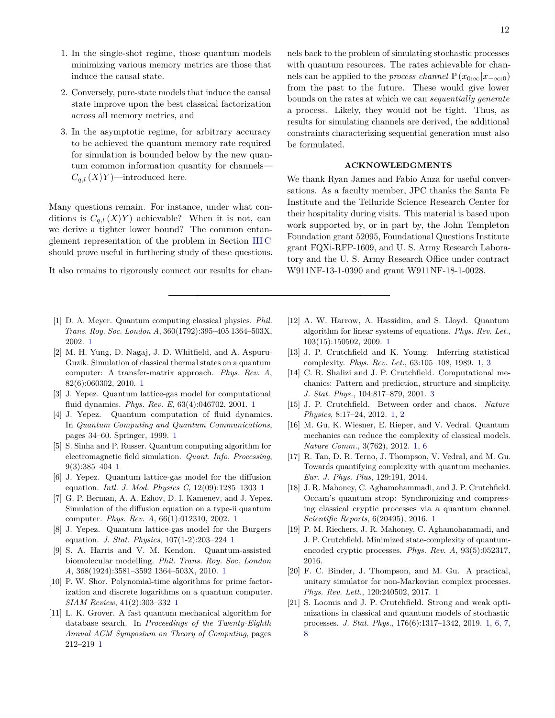- 1. In the single-shot regime, those quantum models minimizing various memory metrics are those that induce the causal state.
- 2. Conversely, pure-state models that induce the causal state improve upon the best classical factorization across all memory metrics, and
- 3. In the asymptotic regime, for arbitrary accuracy to be achieved the quantum memory rate required for simulation is bounded below by the new quantum common information quantity for channels—  $C_{q,l}(X|Y)$ —introduced here.

Many questions remain. For instance, under what conditions is  $C_{q,l}(X|Y)$  achievable? When it is not, can we derive a tighter lower bound? The common entanglement representation of the problem in Section [III C](#page-9-0) should prove useful in furthering study of these questions.

It also remains to rigorously connect our results for chan-

- <span id="page-11-0"></span>[1] D. A. Meyer. Quantum computing classical physics. *Phil. Trans. Roy. Soc. London A*, 360(1792):395–405 1364–503X, 2002. [1](#page-0-4)
- <span id="page-11-1"></span>[2] M. H. Yung, D. Nagaj, J. D. Whitfield, and A. Aspuru-Guzik. Simulation of classical thermal states on a quantum computer: A transfer-matrix approach. *Phys. Rev. A*, 82(6):060302, 2010. [1](#page-0-4)
- <span id="page-11-2"></span>[3] J. Yepez. Quantum lattice-gas model for computational fluid dynamics. *Phys. Rev. E*, 63(4):046702, 2001. [1](#page-0-4)
- <span id="page-11-3"></span>[4] J. Yepez. Quantum computation of fluid dynamics. In *Quantum Computing and Quantum Communications*, pages 34–60. Springer, 1999. [1](#page-0-4)
- <span id="page-11-4"></span>[5] S. Sinha and P. Russer. Quantum computing algorithm for electromagnetic field simulation. *Quant. Info. Processing*, 9(3):385–404 [1](#page-0-4)
- <span id="page-11-5"></span>[6] J. Yepez. Quantum lattice-gas model for the diffusion equation. *Intl. J. Mod. Physics C*, 12(09):1285–1303 [1](#page-0-4)
- <span id="page-11-6"></span>[7] G. P. Berman, A. A. Ezhov, D. I. Kamenev, and J. Yepez. Simulation of the diffusion equation on a type-ii quantum computer. *Phys. Rev. A*, 66(1):012310, 2002. [1](#page-0-4)
- <span id="page-11-7"></span>[8] J. Yepez. Quantum lattice-gas model for the Burgers equation. *J. Stat. Physics*, 107(1-2):203–224 [1](#page-0-4)
- <span id="page-11-8"></span>[9] S. A. Harris and V. M. Kendon. Quantum-assisted biomolecular modelling. *Phil. Trans. Roy. Soc. London A*, 368(1924):3581–3592 1364–503X, 2010. [1](#page-0-4)
- <span id="page-11-9"></span>[10] P. W. Shor. Polynomial-time algorithms for prime factorization and discrete logarithms on a quantum computer. *SIAM Review*, 41(2):303–332 [1](#page-0-4)
- <span id="page-11-10"></span>[11] L. K. Grover. A fast quantum mechanical algorithm for database search. In *Proceedings of the Twenty-Eighth Annual ACM Symposium on Theory of Computing*, pages 212–219 [1](#page-0-4)

nels back to the problem of simulating stochastic processes with quantum resources. The rates achievable for channels can be applied to the *process channel*  $\mathbb{P}(x_{0:\infty}|x_{-\infty:0})$ from the past to the future. These would give lower bounds on the rates at which we can *sequentially generate* a process. Likely, they would not be tight. Thus, as results for simulating channels are derived, the additional constraints characterizing sequential generation must also be formulated.

## **ACKNOWLEDGMENTS**

We thank Ryan James and Fabio Anza for useful conversations. As a faculty member, JPC thanks the Santa Fe Institute and the Telluride Science Research Center for their hospitality during visits. This material is based upon work supported by, or in part by, the John Templeton Foundation grant 52095, Foundational Questions Institute grant FQXi-RFP-1609, and U. S. Army Research Laboratory and the U. S. Army Research Office under contract W911NF-13-1-0390 and grant W911NF-18-1-0028.

- <span id="page-11-11"></span>[12] A. W. Harrow, A. Hassidim, and S. Lloyd. Quantum algorithm for linear systems of equations. *Phys. Rev. Let.*, 103(15):150502, 2009. [1](#page-0-4)
- <span id="page-11-12"></span>[13] J. P. Crutchfield and K. Young. Inferring statistical complexity. *Phys. Rev. Let.*, 63:105–108, 1989. [1,](#page-0-4) [3](#page-2-3)
- <span id="page-11-18"></span>[14] C. R. Shalizi and J. P. Crutchfield. Computational mechanics: Pattern and prediction, structure and simplicity. *J. Stat. Phys.*, 104:817–879, 2001. [3](#page-2-3)
- <span id="page-11-13"></span>[15] J. P. Crutchfield. Between order and chaos. *Nature Physics*, 8:17–24, 2012. [1,](#page-0-4) [2](#page-1-0)
- <span id="page-11-14"></span>[16] M. Gu, K. Wiesner, E. Rieper, and V. Vedral. Quantum mechanics can reduce the complexity of classical models. *Nature Comm.*, 3(762), 2012. [1,](#page-0-4) [6](#page-5-2)
- [17] R. Tan, D. R. Terno, J. Thompson, V. Vedral, and M. Gu. Towards quantifying complexity with quantum mechanics. *Eur. J. Phys. Plus*, 129:191, 2014.
- <span id="page-11-15"></span>[18] J. R. Mahoney, C. Aghamohammadi, and J. P. Crutchfield. Occam's quantum strop: Synchronizing and compressing classical cryptic processes via a quantum channel. *Scientific Reports*, 6(20495), 2016. [1](#page-0-4)
- [19] P. M. Riechers, J. R. Mahoney, C. Aghamohammadi, and J. P. Crutchfield. Minimized state-complexity of quantumencoded cryptic processes. *Phys. Rev. A*, 93(5):052317, 2016.
- <span id="page-11-16"></span>[20] F. C. Binder, J. Thompson, and M. Gu. A practical, unitary simulator for non-Markovian complex processes. *Phys. Rev. Lett.*, 120:240502, 2017. [1](#page-0-4)
- <span id="page-11-17"></span>[21] S. Loomis and J. P. Crutchfield. Strong and weak optimizations in classical and quantum models of stochastic processes. *J. Stat. Phys.*, 176(6):1317–1342, 2019. [1,](#page-0-4) [6,](#page-5-2) [7,](#page-6-1) [8](#page-7-0)